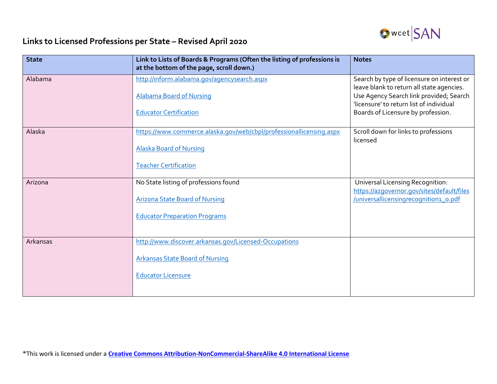

## **Links to Licensed Professions per State – Revised April 2020**

| <b>State</b> | Link to Lists of Boards & Programs (Often the listing of professions is<br>at the bottom of the page, scroll down.) | <b>Notes</b>                                                                                                                     |
|--------------|---------------------------------------------------------------------------------------------------------------------|----------------------------------------------------------------------------------------------------------------------------------|
| Alabama      | http://inform.alabama.gov/agencysearch.aspx                                                                         | Search by type of licensure on interest or                                                                                       |
|              | <b>Alabama Board of Nursing</b>                                                                                     | leave blank to return all state agencies.<br>Use Agency Search link provided; Search<br>'licensure' to return list of individual |
|              | <b>Educator Certification</b>                                                                                       | Boards of Licensure by profession.                                                                                               |
| Alaska       | https://www.commerce.alaska.gov/web/cbpl/professionallicensing.aspx                                                 | Scroll down for links to professions<br>licensed                                                                                 |
|              | <b>Alaska Board of Nursing</b>                                                                                      |                                                                                                                                  |
|              | <b>Teacher Certification</b>                                                                                        |                                                                                                                                  |
| Arizona      | No State listing of professions found                                                                               | <b>Universal Licensing Recognition:</b><br>https://azgovernor.gov/sites/default/files                                            |
|              | <b>Arizona State Board of Nursing</b>                                                                               | /universallicensingrecognition1_o.pdf                                                                                            |
|              | <b>Educator Preparation Programs</b>                                                                                |                                                                                                                                  |
|              |                                                                                                                     |                                                                                                                                  |
| Arkansas     | http://www.discover.arkansas.gov/Licensed-Occupations                                                               |                                                                                                                                  |
|              | <b>Arkansas State Board of Nursing</b>                                                                              |                                                                                                                                  |
|              | <b>Educator Licensure</b>                                                                                           |                                                                                                                                  |
|              |                                                                                                                     |                                                                                                                                  |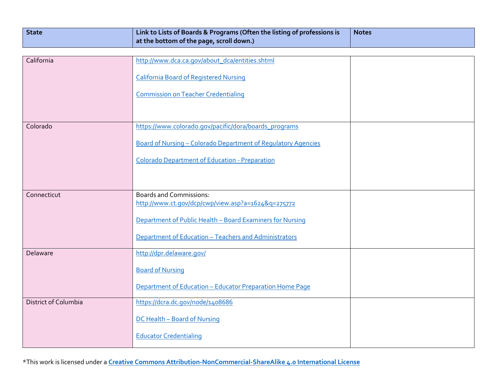| <b>State</b> | $\mid$ Link to Lists of Boards & Programs (Often the listing of professions is | <b>Notes</b> |
|--------------|--------------------------------------------------------------------------------|--------------|
|              | $\vert$ at the bottom of the page, scroll down.)                               |              |

| California           | http://www.dca.ca.gov/about_dca/entities.shtml                                       |  |
|----------------------|--------------------------------------------------------------------------------------|--|
|                      | <b>California Board of Registered Nursing</b>                                        |  |
|                      | <b>Commission on Teacher Credentialing</b>                                           |  |
|                      |                                                                                      |  |
| Colorado             | https://www.colorado.gov/pacific/dora/boards_programs                                |  |
|                      | Board of Nursing - Colorado Department of Regulatory Agencies                        |  |
|                      | <b>Colorado Department of Education - Preparation</b>                                |  |
|                      |                                                                                      |  |
| Connecticut          | <b>Boards and Commissions:</b><br>http://www.ct.gov/dcp/cwp/view.asp?a=1624&g=275772 |  |
|                      | Department of Public Health - Board Examiners for Nursing                            |  |
|                      | Department of Education - Teachers and Administrators                                |  |
| Delaware             | http://dpr.delaware.gov/                                                             |  |
|                      | <b>Board of Nursing</b>                                                              |  |
|                      | Department of Education - Educator Preparation Home Page                             |  |
| District of Columbia | https://dcra.dc.gov/node/1408686                                                     |  |
|                      | DC Health - Board of Nursing                                                         |  |
|                      | <b>Educator Credentialing</b>                                                        |  |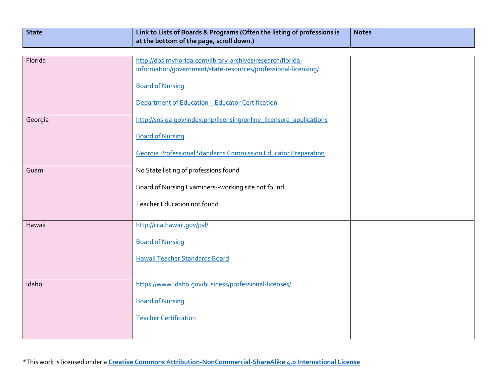| State | Link to Lists of Boards & Programs (Often the listing of professions is | <b>Notes</b> |
|-------|-------------------------------------------------------------------------|--------------|
|       | $\mid$ at the bottom of the page, scroll down.)                         |              |

| Florida | http://dos.myflorida.com/library-archives/research/florida-<br>information/government/state-resources/professional-licensing/ |  |
|---------|-------------------------------------------------------------------------------------------------------------------------------|--|
|         | <b>Board of Nursing</b>                                                                                                       |  |
|         | Department of Education - Educator Certification                                                                              |  |
| Georgia | http://sos.ga.gov/index.php/licensing/online_licensure_applications                                                           |  |
|         | <b>Board of Nursing</b>                                                                                                       |  |
|         | <b>Georgia Professional Standards Commission Educator Preparation</b>                                                         |  |
| Guam    | No State listing of professions found                                                                                         |  |
|         | Board of Nursing Examiners--working site not found.                                                                           |  |
|         | <b>Teacher Education not found</b>                                                                                            |  |
| Hawaii  | http://cca.hawaii.gov/pvl/                                                                                                    |  |
|         | <b>Board of Nursing</b>                                                                                                       |  |
|         | Hawaii Teacher Standards Board                                                                                                |  |
|         |                                                                                                                               |  |
| Idaho   | https://www.idaho.gov/business/professional-licenses/                                                                         |  |
|         | <b>Board of Nursing</b>                                                                                                       |  |
|         | <b>Teacher Certification</b>                                                                                                  |  |
|         |                                                                                                                               |  |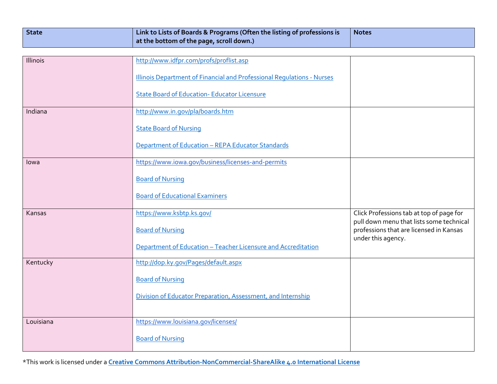| <b>State</b> | $\mid$ Link to Lists of Boards & Programs (Often the listing of professions is | <b>Notes</b> |
|--------------|--------------------------------------------------------------------------------|--------------|
|              | $\mid$ at the bottom of the page, scroll down.)                                |              |

| Illinois  | http://www.idfpr.com/profs/proflist.asp                                |                                                                                      |
|-----------|------------------------------------------------------------------------|--------------------------------------------------------------------------------------|
|           |                                                                        |                                                                                      |
|           | Illinois Department of Financial and Professional Regulations - Nurses |                                                                                      |
|           |                                                                        |                                                                                      |
|           | <b>State Board of Education- Educator Licensure</b>                    |                                                                                      |
|           |                                                                        |                                                                                      |
| Indiana   | http://www.in.gov/pla/boards.htm                                       |                                                                                      |
|           |                                                                        |                                                                                      |
|           | <b>State Board of Nursing</b>                                          |                                                                                      |
|           | Department of Education - REPA Educator Standards                      |                                                                                      |
|           |                                                                        |                                                                                      |
| lowa      | https://www.iowa.gov/business/licenses-and-permits                     |                                                                                      |
|           |                                                                        |                                                                                      |
|           | <b>Board of Nursing</b>                                                |                                                                                      |
|           |                                                                        |                                                                                      |
|           | <b>Board of Educational Examiners</b>                                  |                                                                                      |
|           |                                                                        |                                                                                      |
| Kansas    | https://www.ksbtp.ks.gov/                                              | Click Professions tab at top of page for<br>pull down menu that lists some technical |
|           | <b>Board of Nursing</b>                                                | professions that are licensed in Kansas                                              |
|           |                                                                        | under this agency.                                                                   |
|           | Department of Education - Teacher Licensure and Accreditation          |                                                                                      |
|           |                                                                        |                                                                                      |
| Kentucky  | http://dop.ky.gov/Pages/default.aspx                                   |                                                                                      |
|           | <b>Board of Nursing</b>                                                |                                                                                      |
|           |                                                                        |                                                                                      |
|           | Division of Educator Preparation, Assessment, and Internship           |                                                                                      |
|           |                                                                        |                                                                                      |
|           |                                                                        |                                                                                      |
| Louisiana | https://www.louisiana.gov/licenses/                                    |                                                                                      |
|           | <b>Board of Nursing</b>                                                |                                                                                      |
|           |                                                                        |                                                                                      |
|           |                                                                        |                                                                                      |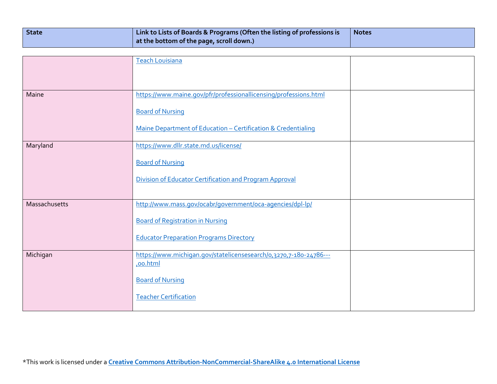| State | Link to Lists of Boards & Programs (Often the listing of professions is | <b>Notes</b> |
|-------|-------------------------------------------------------------------------|--------------|
|       | $\mid$ at the bottom of the page, scroll down.)                         |              |

|               | Teach Louisiana                                                   |  |
|---------------|-------------------------------------------------------------------|--|
|               |                                                                   |  |
|               |                                                                   |  |
| Maine         | https://www.maine.gov/pfr/professionallicensing/professions.html  |  |
|               | <b>Board of Nursing</b>                                           |  |
|               | Maine Department of Education - Certification & Credentialing     |  |
| Maryland      | https://www.dllr.state.md.us/license/                             |  |
|               | <b>Board of Nursing</b>                                           |  |
|               | Division of Educator Certification and Program Approval           |  |
|               |                                                                   |  |
| Massachusetts | http://www.mass.gov/ocabr/government/oca-agencies/dpl-lp/         |  |
|               | <b>Board of Registration in Nursing</b>                           |  |
|               | <b>Educator Preparation Programs Directory</b>                    |  |
| Michigan      | https://www.michigan.gov/statelicensesearch/0,3270,7-180-24786--- |  |
|               | ,oo.html                                                          |  |
|               | <b>Board of Nursing</b>                                           |  |
|               | <b>Teacher Certification</b>                                      |  |
|               |                                                                   |  |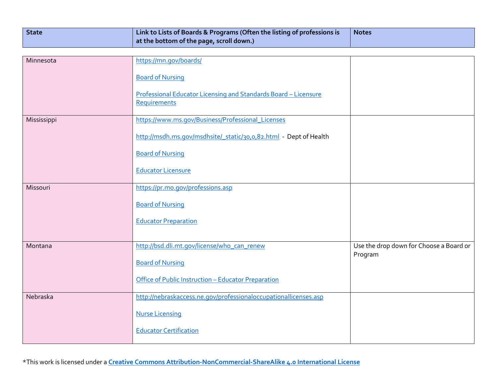| State | $\mid$ Link to Lists of Boards & Programs (Often the listing of professions is | <b>Notes</b> |
|-------|--------------------------------------------------------------------------------|--------------|
|       | $\vert$ at the bottom of the page, scroll down.)                               |              |

| Minnesota   | https://mn.gov/boards/                                            |                                                    |
|-------------|-------------------------------------------------------------------|----------------------------------------------------|
|             | <b>Board of Nursing</b>                                           |                                                    |
|             | Professional Educator Licensing and Standards Board - Licensure   |                                                    |
|             | <b>Requirements</b>                                               |                                                    |
| Mississippi | https://www.ms.gov/Business/Professional_Licenses                 |                                                    |
|             | http://msdh.ms.gov/msdhsite/_static/30,0,82.html - Dept of Health |                                                    |
|             | <b>Board of Nursing</b>                                           |                                                    |
|             | <b>Educator Licensure</b>                                         |                                                    |
| Missouri    | https://pr.mo.gov/professions.asp                                 |                                                    |
|             | <b>Board of Nursing</b>                                           |                                                    |
|             | <b>Educator Preparation</b>                                       |                                                    |
|             |                                                                   |                                                    |
| Montana     | http://bsd.dli.mt.gov/license/who can renew                       | Use the drop down for Choose a Board or<br>Program |
|             | <b>Board of Nursing</b>                                           |                                                    |
|             | Office of Public Instruction - Educator Preparation               |                                                    |
| Nebraska    | http://nebraskaccess.ne.gov/professionaloccupationallicenses.asp  |                                                    |
|             | <b>Nurse Licensing</b>                                            |                                                    |
|             | <b>Educator Certification</b>                                     |                                                    |
|             |                                                                   |                                                    |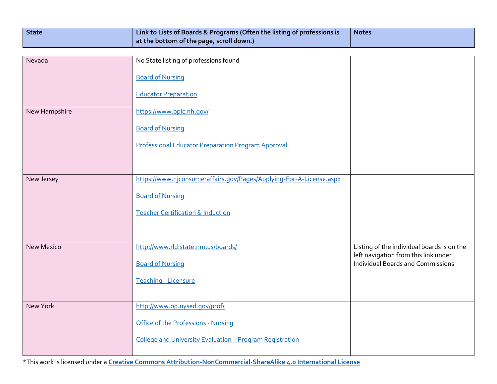| <b>State</b> | Link to Lists of Boards & Programs (Often the listing of professions is | <b>Notes</b> |
|--------------|-------------------------------------------------------------------------|--------------|
|              | at the bottom of the page, scroll down.)                                |              |

| Nevada            | No State listing of professions found                               |                                                                                  |
|-------------------|---------------------------------------------------------------------|----------------------------------------------------------------------------------|
|                   | <b>Board of Nursing</b>                                             |                                                                                  |
|                   | <b>Educator Preparation</b>                                         |                                                                                  |
| New Hampshire     | https://www.oplc.nh.gov/                                            |                                                                                  |
|                   | <b>Board of Nursing</b>                                             |                                                                                  |
|                   | <b>Professional Educator Preparation Program Approval</b>           |                                                                                  |
|                   |                                                                     |                                                                                  |
| New Jersey        | https://www.njconsumeraffairs.gov/Pages/Applying-For-A-License.aspx |                                                                                  |
|                   | <b>Board of Nursing</b>                                             |                                                                                  |
|                   | <b>Teacher Certification &amp; Induction</b>                        |                                                                                  |
|                   |                                                                     |                                                                                  |
| <b>New Mexico</b> | http://www.rld.state.nm.us/boards/                                  | Listing of the individual boards is on the                                       |
|                   | <b>Board of Nursing</b>                                             | left navigation from this link under<br><b>Individual Boards and Commissions</b> |
|                   | <b>Teaching - Licensure</b>                                         |                                                                                  |
|                   |                                                                     |                                                                                  |
| New York          | http://www.op.nysed.gov/prof/                                       |                                                                                  |
|                   | Office of the Professions - Nursing                                 |                                                                                  |
|                   | College and University Evaluation - Program Registration            |                                                                                  |
|                   |                                                                     |                                                                                  |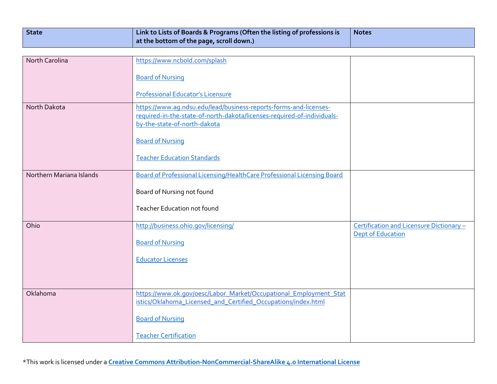| State | Link to Lists of Boards & Programs (Often the listing of professions is | <b>Notes</b> |
|-------|-------------------------------------------------------------------------|--------------|
|       | $\mid$ at the bottom of the page, scroll down.)                         |              |

| North Carolina           | https://www.ncbold.com/splash                                           |                                         |
|--------------------------|-------------------------------------------------------------------------|-----------------------------------------|
|                          |                                                                         |                                         |
|                          | <b>Board of Nursing</b>                                                 |                                         |
|                          | <b>Professional Educator's Licensure</b>                                |                                         |
| North Dakota             | https://www.aq.ndsu.edu/lead/business-reports-forms-and-licenses-       |                                         |
|                          | required-in-the-state-of-north-dakota/licenses-required-of-individuals- |                                         |
|                          | by-the-state-of-north-dakota                                            |                                         |
|                          | <b>Board of Nursing</b>                                                 |                                         |
|                          |                                                                         |                                         |
|                          | <b>Teacher Education Standards</b>                                      |                                         |
| Northern Mariana Islands | Board of Professional Licensing/HealthCare Professional Licensing Board |                                         |
|                          |                                                                         |                                         |
|                          | Board of Nursing not found                                              |                                         |
|                          | <b>Teacher Education not found</b>                                      |                                         |
|                          |                                                                         |                                         |
| Ohio                     | http://business.ohio.gov/licensing/                                     | Certification and Licensure Dictionary- |
|                          | <b>Board of Nursing</b>                                                 | <b>Dept of Education</b>                |
|                          |                                                                         |                                         |
|                          | <b>Educator Licenses</b>                                                |                                         |
|                          |                                                                         |                                         |
|                          |                                                                         |                                         |
| Oklahoma                 | https://www.ok.gov/oesc/Labor_Market/Occupational_Employment_Stat       |                                         |
|                          | istics/Oklahoma_Licensed_and_Certified_Occupations/index.html           |                                         |
|                          | <b>Board of Nursing</b>                                                 |                                         |
|                          |                                                                         |                                         |
|                          | <b>Teacher Certification</b>                                            |                                         |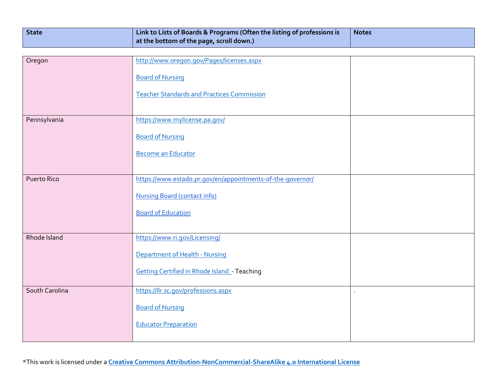| State | $\mid$ Link to Lists of Boards & Programs (Often the listing of professions is | <b>Notes</b> |
|-------|--------------------------------------------------------------------------------|--------------|
|       | $\mid$ at the bottom of the page, scroll down.)                                |              |

| Oregon             | http://www.oregon.gov/Pages/licenses.aspx                  |  |
|--------------------|------------------------------------------------------------|--|
|                    | <b>Board of Nursing</b>                                    |  |
|                    | <b>Teacher Standards and Practices Commission</b>          |  |
|                    |                                                            |  |
| Pennsylvania       | https://www.mylicense.pa.gov/                              |  |
|                    | <b>Board of Nursing</b>                                    |  |
|                    | <b>Become an Educator</b>                                  |  |
|                    |                                                            |  |
| <b>Puerto Rico</b> | https://www.estado.pr.gov/en/appointments-of-the-governor/ |  |
|                    | <b>Nursing Board (contact info)</b>                        |  |
|                    | <b>Board of Education</b>                                  |  |
|                    |                                                            |  |
| Rhode Island       | https://www.ri.gov/Licensing/                              |  |
|                    | Department of Health - Nursing                             |  |
|                    | <b>Getting Certified in Rhode Island - Teaching</b>        |  |
| South Carolina     | https://llr.sc.gov/professions.aspx                        |  |
|                    | <b>Board of Nursing</b>                                    |  |
|                    | <b>Educator Preparation</b>                                |  |
|                    |                                                            |  |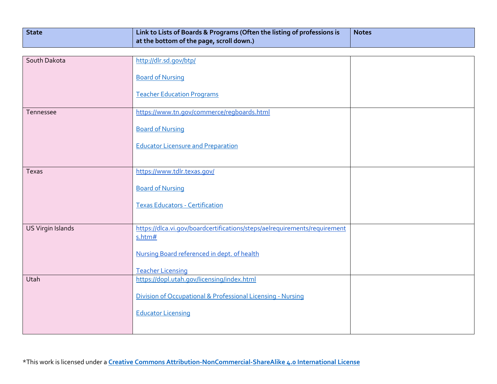| State | Link to Lists of Boards & Programs (Often the listing of professions is | <b>Notes</b> |
|-------|-------------------------------------------------------------------------|--------------|
|       | at the bottom of the page, scroll down.)                                |              |

| South Dakota      | http://dlr.sd.qov/btp/                                                    |  |
|-------------------|---------------------------------------------------------------------------|--|
|                   | <b>Board of Nursing</b>                                                   |  |
|                   |                                                                           |  |
|                   | <b>Teacher Education Programs</b>                                         |  |
| Tennessee         | https://www.tn.gov/commerce/regboards.html                                |  |
|                   |                                                                           |  |
|                   | <b>Board of Nursing</b>                                                   |  |
|                   | <b>Educator Licensure and Preparation</b>                                 |  |
|                   |                                                                           |  |
| Texas             | https://www.tdlr.texas.gov/                                               |  |
|                   |                                                                           |  |
|                   | <b>Board of Nursing</b>                                                   |  |
|                   | <b>Texas Educators - Certification</b>                                    |  |
|                   |                                                                           |  |
| US Virgin Islands | https://dlca.vi.gov/boardcertifications/steps/aelrequirements/requirement |  |
|                   | s.htm#                                                                    |  |
|                   | Nursing Board referenced in dept. of health                               |  |
|                   |                                                                           |  |
|                   | <b>Teacher Licensing</b>                                                  |  |
| Utah              | https://dopl.utah.gov/licensing/index.html                                |  |
|                   | Division of Occupational & Professional Licensing - Nursing               |  |
|                   | <b>Educator Licensing</b>                                                 |  |
|                   |                                                                           |  |
|                   |                                                                           |  |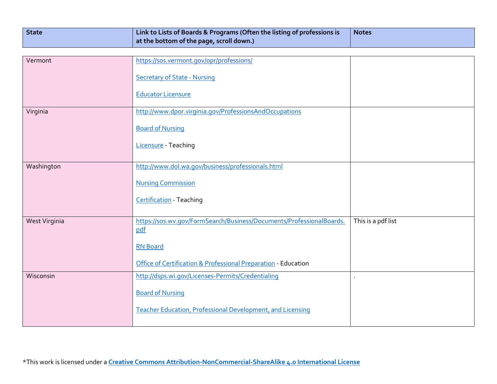| State | $\mid$ Link to Lists of Boards & Programs (Often the listing of professions is | <b>Notes</b> |
|-------|--------------------------------------------------------------------------------|--------------|
|       | $\vert$ at the bottom of the page, scroll down.)                               |              |

| Vermont       | https://sos.vermont.gov/opr/professions/                                    |                    |
|---------------|-----------------------------------------------------------------------------|--------------------|
|               | <b>Secretary of State - Nursing</b>                                         |                    |
|               |                                                                             |                    |
|               | <b>Educator Licensure</b>                                                   |                    |
| Virginia      | http://www.dpor.virginia.gov/ProfessionsAndOccupations                      |                    |
|               | <b>Board of Nursing</b>                                                     |                    |
|               | Licensure - Teaching                                                        |                    |
|               |                                                                             |                    |
| Washington    | http://www.dol.wa.gov/business/professionals.html                           |                    |
|               | <b>Nursing Commission</b>                                                   |                    |
|               | <b>Certification</b> - Teaching                                             |                    |
|               |                                                                             |                    |
| West Virginia | https://sos.wv.gov/FormSearch/Business/Documents/ProfessionalBoards.<br>pdf | This is a pdf list |
|               |                                                                             |                    |
|               | <b>RN Board</b>                                                             |                    |
|               | Office of Certification & Professional Preparation - Education              |                    |
| Wisconsin     | http://dsps.wi.gov/Licenses-Permits/Credentialing                           |                    |
|               | <b>Board of Nursing</b>                                                     |                    |
|               |                                                                             |                    |
|               | <b>Teacher Education, Professional Development, and Licensing</b>           |                    |
|               |                                                                             |                    |